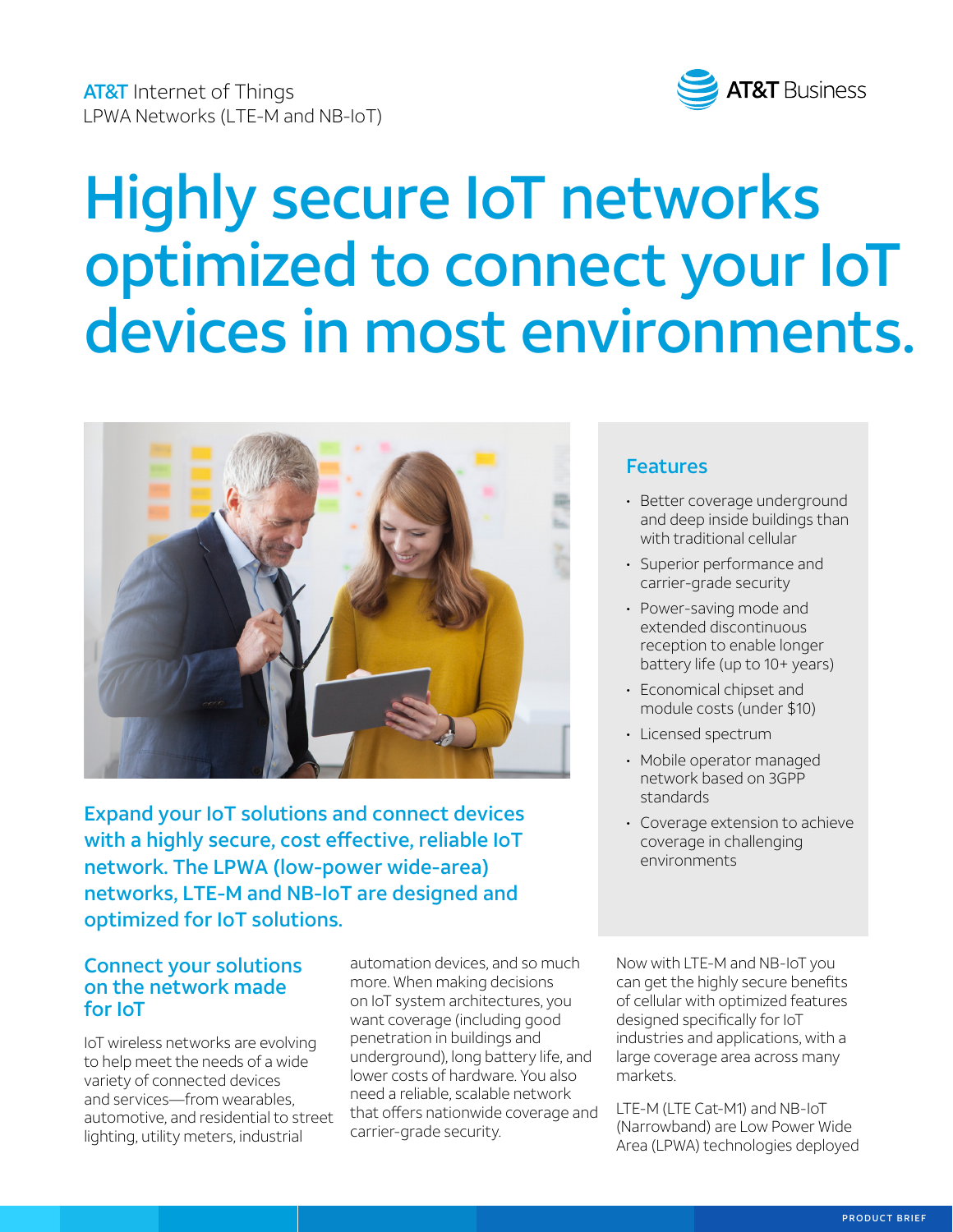

# Highly secure IoT networks optimized to connect your IoT devices in most environments.



Expand your IoT solutions and connect devices with a highly secure, cost effective, reliable IoT network. The LPWA (low-power wide-area) networks, LTE-M and NB-IoT are designed and optimized for IoT solutions.

## Connect your solutions on the network made for IoT

IoT wireless networks are evolving to help meet the needs of a wide variety of connected devices and services—from wearables, automotive, and residential to street lighting, utility meters, industrial

automation devices, and so much more. When making decisions on IoT system architectures, you want coverage (including good penetration in buildings and underground), long battery life, and lower costs of hardware. You also need a reliable, scalable network that offers nationwide coverage and carrier-grade security.

## Features

- Better coverage underground and deep inside buildings than with traditional cellular
- Superior performance and carrier-grade security
- Power-saving mode and extended discontinuous reception to enable longer battery life (up to 10+ years)
- Economical chipset and module costs (under \$10)
- Licensed spectrum
- Mobile operator managed network based on 3GPP standards
- Coverage extension to achieve coverage in challenging environments

Now with LTE-M and NB-IoT you can get the highly secure benefits of cellular with optimized features designed specifically for IoT industries and applications, with a large coverage area across many markets.

LTE-M (LTE Cat-M1) and NB-IoT (Narrowband) are Low Power Wide Area (LPWA) technologies deployed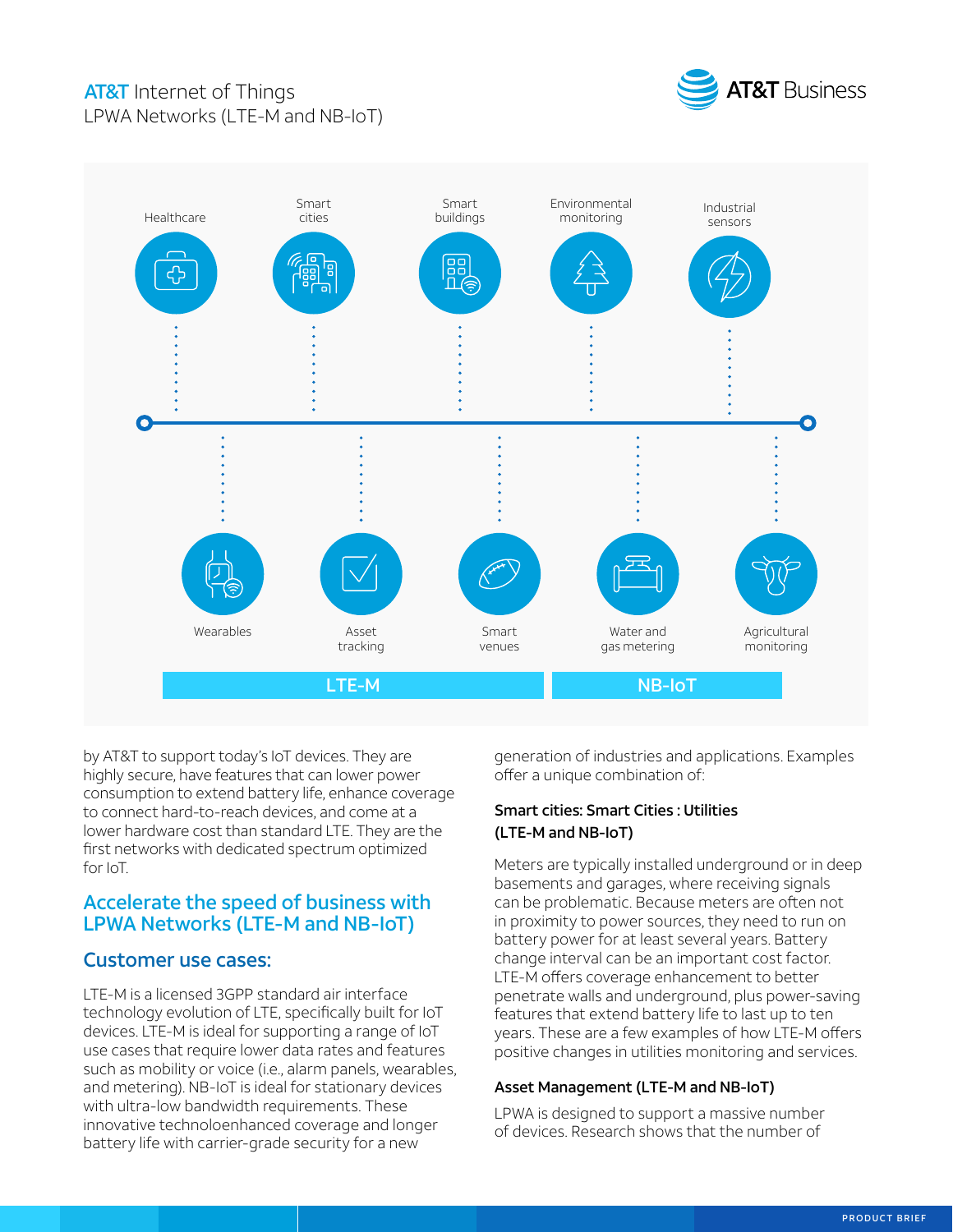# **AT&T** Internet of Things LPWA Networks (LTE-M and NB-IoT)





by AT&T to support today's IoT devices. They are highly secure, have features that can lower power consumption to extend battery life, enhance coverage to connect hard-to-reach devices, and come at a lower hardware cost than standard LTE. They are the first networks with dedicated spectrum optimized for IoT.

## Accelerate the speed of business with LPWA Networks (LTE-M and NB-IoT)

#### Customer use cases:

LTE-M is a licensed 3GPP standard air interface technology evolution of LTE, specifically built for IoT devices. LTE-M is ideal for supporting a range of IoT use cases that require lower data rates and features such as mobility or voice (i.e., alarm panels, wearables, and metering). NB-IoT is ideal for stationary devices with ultra-low bandwidth requirements. These innovative technoloenhanced coverage and longer battery life with carrier-grade security for a new

generation of industries and applications. Examples offer a unique combination of:

#### Smart cities: Smart Cities : Utilities (LTE-M and NB-IoT)

Meters are typically installed underground or in deep basements and garages, where receiving signals can be problematic. Because meters are often not in proximity to power sources, they need to run on battery power for at least several years. Battery change interval can be an important cost factor. LTE-M offers coverage enhancement to better penetrate walls and underground, plus power-saving features that extend battery life to last up to ten years. These are a few examples of how LTE-M offers positive changes in utilities monitoring and services.

#### Asset Management (LTE-M and NB-IoT)

LPWA is designed to support a massive number of devices. Research shows that the number of